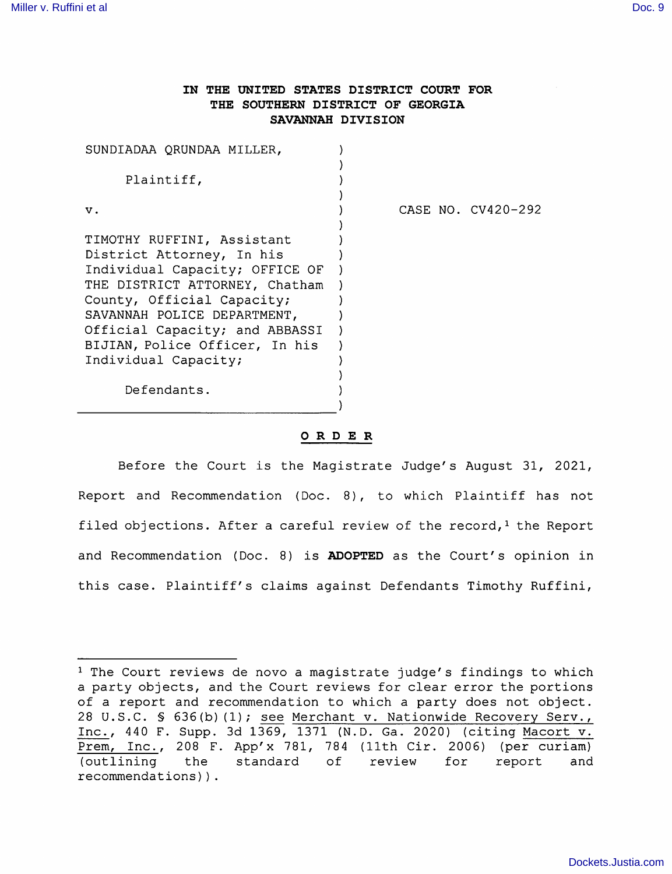## IN THE UNITED STATES DISTRICT COURT FOR THE SOUTHERN DISTRICT OF GEORGIA SAVANNAH DIVISION

| SUNDIADAA QRUNDAA MILLER,                                        |  |                    |
|------------------------------------------------------------------|--|--------------------|
| Plaintiff,                                                       |  |                    |
| v.                                                               |  | CASE NO. CV420-292 |
| TIMOTHY RUFFINI, Assistant<br>District Attorney, In his          |  |                    |
| Individual Capacity; OFFICE OF<br>THE DISTRICT ATTORNEY, Chatham |  |                    |
| County, Official Capacity;<br>SAVANNAH POLICE DEPARTMENT,        |  |                    |
| Official Capacity; and ABBASSI<br>BIJIAN, Police Officer, In his |  |                    |
| Individual Capacity;                                             |  |                    |
| Defendants.                                                      |  |                    |

## ORDER

Before the Court is the Magistrate Judge's August 31, 2021, Report and Recommendation (Doc. 8), to which Plaintiff has not filed objections. After a careful review of the record, $<sup>1</sup>$  the Report</sup> and Recommendation (Doc. 8) is **ADOPTED** as the Court's opinion in this case. Plaintiff's claims against Defendants Timothy Ruffini,

 $1$  The Court reviews de novo a magistrate judge's findings to which a party objects, and the Court reviews for clear error the portions of a report and recommendation to which a party does not object. 28 U.S.C. § 636(b)(1); see Merchant v. Nationwide Recovery Serv., Inc., 440 F. Supp. 3d 1369, 1371 (N.D. Ga. 2020) (citing Macort v. Prem, Inc., 208 F. App'x 781, 784 (11th Cir. 2006) (per curiam) (outlining the standard of review for report and recommendations)).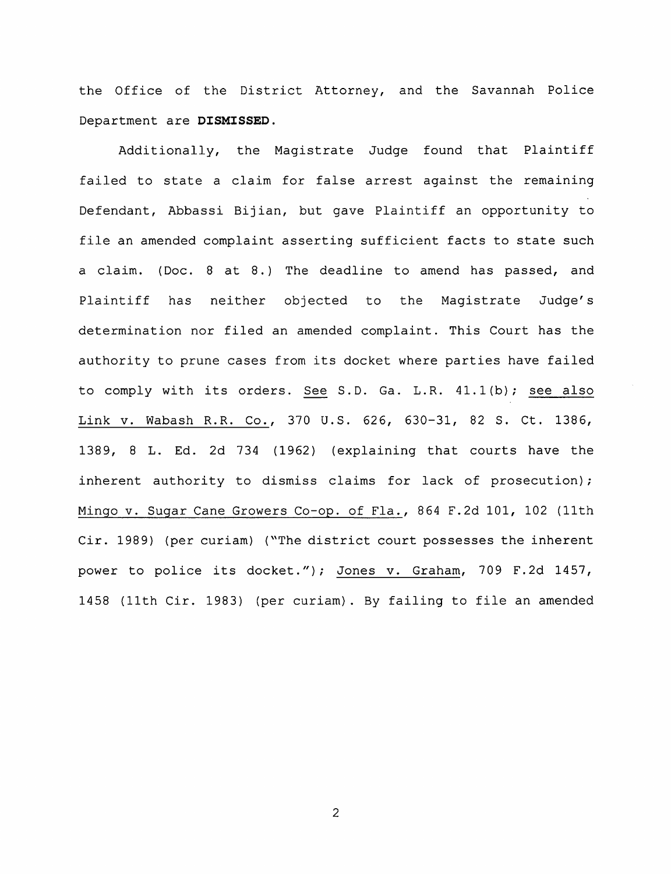the Office of the District Attorney, and the Savannah Police Department are DISMISSED.

Additionally, the Magistrate Judge found that Plaintiff failed to state a claim for false arrest against the remaining Defendant, Abbassi Bijian, but gave Plaintiff an opportunity to file an amended complaint asserting sufficient facts to state such a claim. (Doc. 8 at 8.) The deadline to amend has passed, and Plaintiff has neither objected to the Magistrate Judge's determination nor filed an amended complaint. This Court has the authority to prune cases from its docket where parties have failed to comply with its orders. See S.D. Ga. L.R. 41.1(b); see also Link V. Wabash R.R. Co., 370 U.S. 626, 630-31, 82 S. Ct. 1386, 1389, 8 L. Ed. 2d 734 (1962) (explaining that courts have the inherent authority to dismiss claims for lack of prosecution) ; Mingo v. Sugar Cane Growers Co-op. of Fla., 864 F.2d 101, 102 (11th Cir. 1989) (per curiam) ("The district court possesses the inherent power to police its docket."); Jones v. Graham, 709 F.2d 1457, 1458 (11th Cir. 1983) (per curiam). By failing to file an amended

 $\overline{c}$